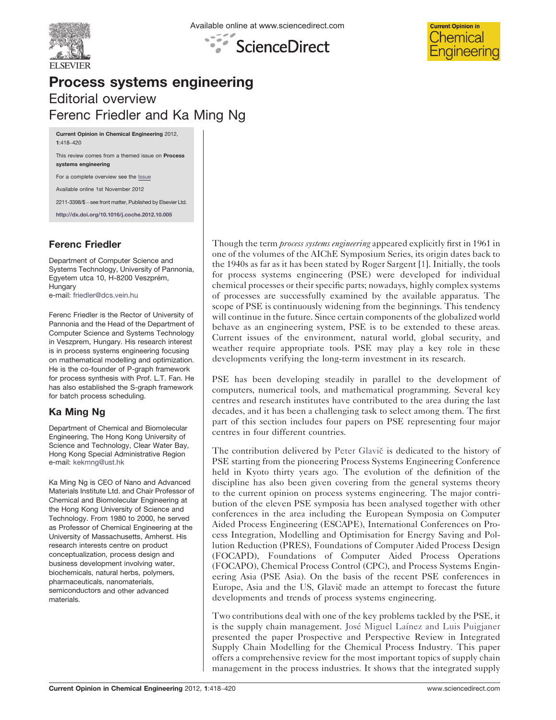





## Process systems engineering Editorial overview Ferenc Friedler and Ka Ming Ng

Current Opinion in Chemical Engineering 2012, 1:418–420

This review comes from a themed issue on Process systems engineering

For a complete overview see the [Issue](http://www.sciencedirect.com/science/journal/22113398/1/4)

Available online 1st November 2012

2211-3398/\$ – see front matter, Published by Elsevier Ltd.

<http://dx.doi.org/10.1016/j.coche.2012.10.005>

## Ferenc Friedler

Department of Computer Science and Systems Technology, University of Pannonia, Egyetem utca 10, H-8200 Veszprém, Hungary e-mail: [friedler@dcs.vein.hu](mailto:friedler@dcs.vein.hu)

Ferenc Friedler is the Rector of University of Pannonia and the Head of the Department of Computer Science and Systems Technology in Veszprem, Hungary. His research interest is in process systems engineering focusing on mathematical modelling and optimization. He is the co-founder of P-graph framework for process synthesis with Prof. L.T. Fan. He has also established the S-graph framework for batch process scheduling.

## Ka Ming Ng

Department of Chemical and Biomolecular Engineering, The Hong Kong University of Science and Technology, Clear Water Bay, Hong Kong Special Administrative Region e-mail: [kekmng@ust.hk](mailto:kekmng@ust.hk)

Ka Ming Ng is CEO of Nano and Advanced Materials Institute Ltd. and Chair Professor of Chemical and Biomolecular Engineering at the Hong Kong University of Science and Technology. From 1980 to 2000, he served as Professor of Chemical Engineering at the University of Massachusetts, Amherst. His research interests centre on product conceptualization, process design and business development involving water, biochemicals, natural herbs, polymers, pharmaceuticals, nanomaterials, semiconductors and other advanced materials.

Though the term *process systems engineering* appeared explicitly first in 1961 in one of the volumes of the AIChE Symposium Series, its origin dates back to the 1940s as far as it has been stated by Roger Sargent [\[1](#page-2-0)]. Initially, the tools for process systems engineering (PSE) were developed for individual chemical processes or their specific parts; nowadays, highly complex systems of processes are successfully examined by the available apparatus. The scope of PSE is continuously widening from the beginnings. This tendency will continue in the future. Since certain components of the globalized world behave as an engineering system, PSE is to be extended to these areas. Current issues of the environment, natural world, global security, and weather require appropriate tools. PSE may play a key role in these developments verifying the long-term investment in its research.

PSE has been developing steadily in parallel to the development of computers, numerical tools, and mathematical programming. Several key centres and research institutes have contributed to the area during the last decades, and it has been a challenging task to select among them. The first part of this section includes four papers on PSE representing four major centres in four different countries.

The contribution delivered by Peter Glavič is dedicated to the history of PSE starting from the pioneering Process Systems Engineering Conference held in Kyoto thirty years ago. The evolution of the definition of the discipline has also been given covering from the general systems theory to the current opinion on process systems engineering. The major contribution of the eleven PSE symposia has been analysed together with other conferences in the area including the European Symposia on Computer Aided Process Engineering (ESCAPE), International Conferences on Process Integration, Modelling and Optimisation for Energy Saving and Pollution Reduction (PRES), Foundations of Computer Aided Process Design (FOCAPD), Foundations of Computer Aided Process Operations (FOCAPO), Chemical Process Control (CPC), and Process Systems Engineering Asia (PSE Asia). On the basis of the recent PSE conferences in Europe, Asia and the US, Glavič made an attempt to forecast the future developments and trends of process systems engineering.

Two contributions deal with one of the key problems tackled by the PSE, it is the supply chain management. José Miguel Laínez and Luis [Puigjaner](http://dx.doi.org/10.1016/j.coche.2012.09.002) presented the paper Prospective and Perspective Review in Integrated Supply Chain Modelling for the Chemical Process Industry. This paper offers a comprehensive review for the most important topics of supply chain management in the process industries. It shows that the integrated supply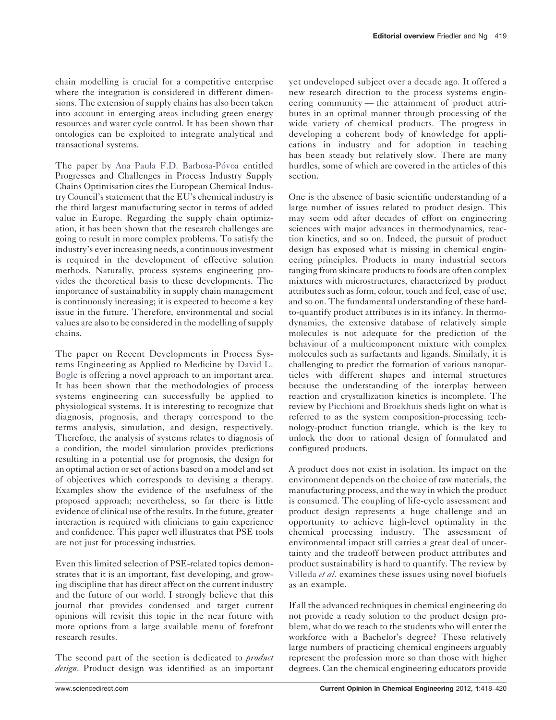chain modelling is crucial for a competitive enterprise where the integration is considered in different dimensions. The extension of supply chains has also been taken into account in emerging areas including green energy resources and water cycle control. It has been shown that ontologies can be exploited to integrate analytical and transactional systems.

The paper by Ana Paula F.D. Barbosa-Póvoa entitled Progresses and Challenges in Process Industry Supply Chains Optimisation cites the European Chemical Industry Council'sstatement that the EU's chemical industry is the third largest manufacturing sector in terms of added value in Europe. Regarding the supply chain optimization, it has been shown that the research challenges are going to result in more complex problems. To satisfy the industry's ever increasing needs, a continuous investment is required in the development of effective solution methods. Naturally, process systems engineering provides the theoretical basis to these developments. The importance of sustainability in supply chain management is continuously increasing; it is expected to become a key issue in the future. Therefore, environmental and social values are also to be considered in the modelling of supply chains.

The paper on Recent Developments in Process Systems Engineering as Applied to Medicine by [David](http://dx.doi.org/10.1016/j.coche.2012.09.007) L. [Bogle](http://dx.doi.org/10.1016/j.coche.2012.09.007) is offering a novel approach to an important area. It has been shown that the methodologies of process systems engineering can successfully be applied to physiological systems. It is interesting to recognize that diagnosis, prognosis, and therapy correspond to the terms analysis, simulation, and design, respectively. Therefore, the analysis of systems relates to diagnosis of a condition, the model simulation provides predictions resulting in a potential use for prognosis, the design for an optimal action orset of actions based on a model and set of objectives which corresponds to devising a therapy. Examples show the evidence of the usefulness of the proposed approach; nevertheless, so far there is little evidence of clinical use of the results.In the future, greater interaction is required with clinicians to gain experience and confidence. This paper well illustrates that PSE tools are not just for processing industries.

Even this limited selection of PSE-related topics demonstrates that it is an important, fast developing, and growing discipline that has direct affect on the current industry and the future of our world. I strongly believe that this journal that provides condensed and target current opinions will revisit this topic in the near future with more options from a large available menu of forefront research results.

The second part of the section is dedicated to *product* design. Product design was identified as an important

yet undeveloped subject over a decade ago. It offered a new research direction to the process systems engineering community — the attainment of product attributes in an optimal manner through processing of the wide variety of chemical products. The progress in developing a coherent body of knowledge for applications in industry and for adoption in teaching has been steady but relatively slow. There are many hurdles, some of which are covered in the articles of this section.

One is the absence of basic scientific understanding of a large number of issues related to product design. This may seem odd after decades of effort on engineering sciences with major advances in thermodynamics, reaction kinetics, and so on. Indeed, the pursuit of product design has exposed what is missing in chemical engineering principles. Products in many industrial sectors ranging from skincare products to foods are often complex mixtures with microstructures, characterized by product attributes such as form, colour, touch and feel, ease of use, and so on. The fundamental understanding of these hardto-quantify product attributes is in its infancy. In thermodynamics, the extensive database of relatively simple molecules is not adequate for the prediction of the behaviour of a multicomponent mixture with complex molecules such as surfactants and ligands. Similarly, it is challenging to predict the formation of various nanoparticles with different shapes and internal structures because the understanding of the interplay between reaction and crystallization kinetics is incomplete. The review by Picchioni and [Broekhuis](http://dx.doi.org/10.1016/j.coche.2012.08.002) sheds light on what is referred to as the system composition-processing technology-product function triangle, which is the key to unlock the door to rational design of formulated and configured products.

A product does not exist in isolation. Its impact on the environment depends on the choice of raw materials, the manufacturing process, and the way in which the product is consumed. The coupling of life-cycle assessment and product design represents a huge challenge and an opportunity to achieve high-level optimality in the chemical processing industry. The assessment of environmental impact still carries a great deal of uncertainty and the tradeoff between product attributes and product sustainability is hard to quantify. The review by [Villeda](http://dx.doi.org/10.1016/j.coche.2012.08.001) et al. examines these issues using novel biofuels as an example.

If all the advanced techniques in chemical engineering do not provide a ready solution to the product design problem, what do we teach to the students who will enter the workforce with a Bachelor's degree? These relatively large numbers of practicing chemical engineers arguably represent the profession more so than those with higher degrees. Can the chemical engineering educators provide